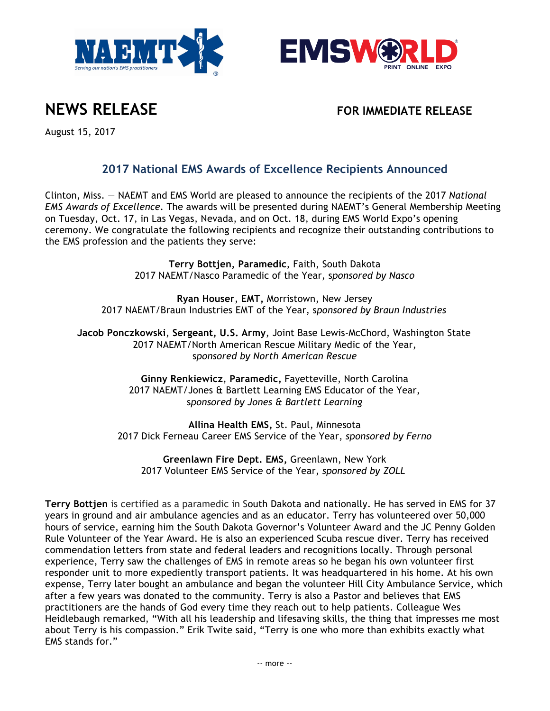





August 15, 2017

## **2017 National EMS Awards of Excellence Recipients Announced**

Clinton, Miss. — NAEMT and EMS World are pleased to announce the recipients of the 2017 *National EMS Awards of Excellence*. The awards will be presented during NAEMT's General Membership Meeting on Tuesday, Oct. 17, in Las Vegas, Nevada, and on Oct. 18, during EMS World Expo's opening ceremony. We congratulate the following recipients and recognize their outstanding contributions to the EMS profession and the patients they serve:

> **Terry Bottjen, Paramedic**, Faith, South Dakota 2017 NAEMT/Nasco Paramedic of the Year, s*ponsored by Nasco*

**Ryan Houser**, **EMT,** Morristown, New Jersey 2017 NAEMT/Braun Industries EMT of the Year, s*ponsored by Braun Industries*

**Jacob Ponczkowski**, **Sergeant, U.S. Army**, Joint Base Lewis-McChord, Washington State 2017 NAEMT/North American Rescue Military Medic of the Year, s*ponsored by North American Rescue*

> **Ginny Renkiewicz**, **Paramedic,** Fayetteville, North Carolina 2017 NAEMT/Jones & Bartlett Learning EMS Educator of the Year, s*ponsored by Jones & Bartlett Learning*

**Allina Health EMS,** St. Paul, Minnesota 2017 Dick Ferneau Career EMS Service of the Year, *sponsored by Ferno*

**Greenlawn Fire Dept. EMS,** Greenlawn, New York 2017 Volunteer EMS Service of the Year, *sponsored by ZOLL*

**Terry Bottjen** is certified as a paramedic in South Dakota and nationally. He has served in EMS for 37 years in ground and air ambulance agencies and as an educator. Terry has volunteered over 50,000 hours of service, earning him the South Dakota Governor's Volunteer Award and the JC Penny Golden Rule Volunteer of the Year Award. He is also an experienced Scuba rescue diver. Terry has received commendation letters from state and federal leaders and recognitions locally. Through personal experience, Terry saw the challenges of EMS in remote areas so he began his own volunteer first responder unit to more expediently transport patients. It was headquartered in his home. At his own expense, Terry later bought an ambulance and began the volunteer Hill City Ambulance Service, which after a few years was donated to the community. Terry is also a Pastor and believes that EMS practitioners are the hands of God every time they reach out to help patients. Colleague Wes Heidlebaugh remarked, "With all his leadership and lifesaving skills, the thing that impresses me most about Terry is his compassion." Erik Twite said, "Terry is one who more than exhibits exactly what EMS stands for."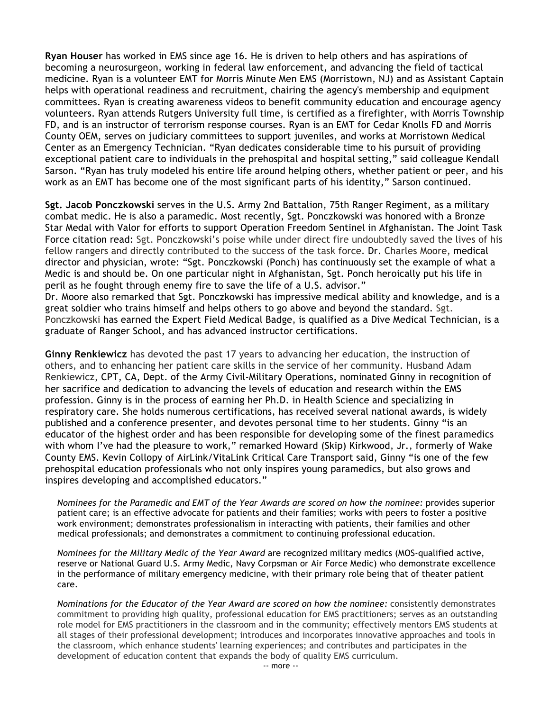**Ryan Houser** has worked in EMS since age 16. He is driven to help others and has aspirations of becoming a neurosurgeon, working in federal law enforcement, and advancing the field of tactical medicine. Ryan is a volunteer EMT for Morris Minute Men EMS (Morristown, NJ) and as Assistant Captain helps with operational readiness and recruitment, chairing the agency's membership and equipment committees. Ryan is creating awareness videos to benefit community education and encourage agency volunteers. Ryan attends Rutgers University full time, is certified as a firefighter, with Morris Township FD, and is an instructor of terrorism response courses. Ryan is an EMT for Cedar Knolls FD and Morris County OEM, serves on judiciary committees to support juveniles, and works at Morristown Medical Center as an Emergency Technician. "Ryan dedicates considerable time to his pursuit of providing exceptional patient care to individuals in the prehospital and hospital setting," said colleague Kendall Sarson. "Ryan has truly modeled his entire life around helping others, whether patient or peer, and his work as an EMT has become one of the most significant parts of his identity," Sarson continued.

**Sgt. Jacob Ponczkowski** serves in the U.S. Army 2nd Battalion, 75th Ranger Regiment, as a military combat medic. He is also a paramedic. Most recently, Sgt. Ponczkowski was honored with a Bronze Star Medal with Valor for efforts to support Operation Freedom Sentinel in Afghanistan. The Joint Task Force citation read: Sgt. Ponczkowski's poise while under direct fire undoubtedly saved the lives of his fellow rangers and directly contributed to the success of the task force. Dr. Charles Moore, medical director and physician, wrote: "Sgt. Ponczkowski (Ponch) has continuously set the example of what a Medic is and should be. On one particular night in Afghanistan, Sgt. Ponch heroically put his life in peril as he fought through enemy fire to save the life of a U.S. advisor."

Dr. Moore also remarked that Sgt. Ponczkowski has impressive medical ability and knowledge, and is a great soldier who trains himself and helps others to go above and beyond the standard. Sgt. Ponczkowski has earned the Expert Field Medical Badge, is qualified as a Dive Medical Technician, is a graduate of Ranger School, and has advanced instructor certifications.

**Ginny Renkiewicz** has devoted the past 17 years to advancing her education, the instruction of others, and to enhancing her patient care skills in the service of her community. Husband Adam Renkiewicz, CPT, CA, Dept. of the Army Civil-Military Operations, nominated Ginny in recognition of her sacrifice and dedication to advancing the levels of education and research within the EMS profession. Ginny is in the process of earning her Ph.D. in Health Science and specializing in respiratory care. She holds numerous certifications, has received several national awards, is widely published and a conference presenter, and devotes personal time to her students. Ginny "is an educator of the highest order and has been responsible for developing some of the finest paramedics with whom I've had the pleasure to work," remarked Howard (Skip) Kirkwood, Jr., formerly of Wake County EMS. Kevin Collopy of AirLink/VitaLink Critical Care Transport said, Ginny "is one of the few prehospital education professionals who not only inspires young paramedics, but also grows and inspires developing and accomplished educators."

*Nominees for the Paramedic and EMT of the Year Awards are scored on how the nominee:* provides superior patient care; is an effective advocate for patients and their families; works with peers to foster a positive work environment; demonstrates professionalism in interacting with patients, their families and other medical professionals; and demonstrates a commitment to continuing professional education.

*Nominees for the Military Medic of the Year Award* are recognized military medics (MOS-qualified active, reserve or National Guard U.S. Army Medic, Navy Corpsman or Air Force Medic) who demonstrate excellence in the performance of military emergency medicine, with their primary role being that of theater patient care.

*Nominations for the Educator of the Year Award are scored on how the nominee:* consistently demonstrates commitment to providing high quality, professional education for EMS practitioners; serves as an outstanding role model for EMS practitioners in the classroom and in the community; effectively mentors EMS students at all stages of their professional development; introduces and incorporates innovative approaches and tools in the classroom, which enhance students' learning experiences; and contributes and participates in the development of education content that expands the body of quality EMS curriculum.